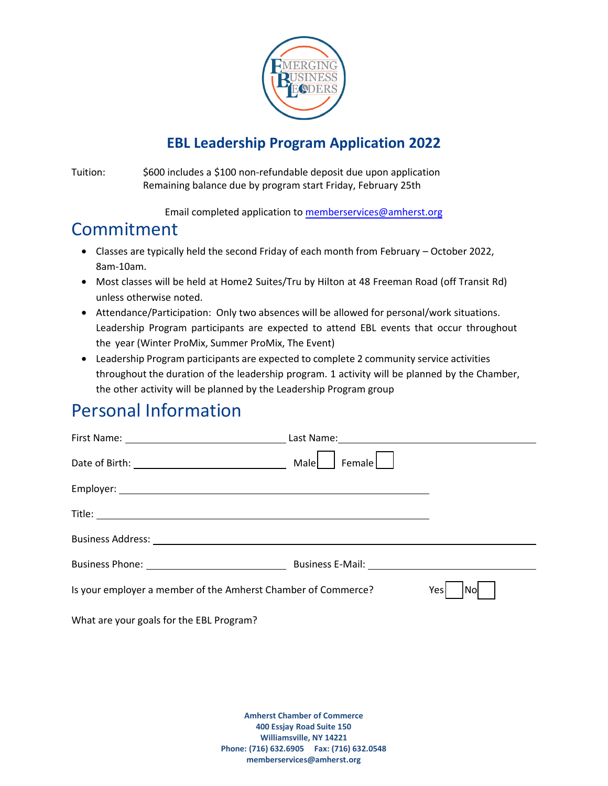

#### **EBL Leadership Program Application 2022**

Tuition: \$600 includes a \$100 non-refundable deposit due upon application Remaining balance due by program start Friday, February 25th

Email completed application t[o memberservices@amherst.org](mailto:memberservices@amherst.org)

### Commitment

- Classes are typically held the second Friday of each month from February October 2022, 8am-10am.
- Most classes will be held at Home2 Suites/Tru by Hilton at 48 Freeman Road (off Transit Rd) unless otherwise noted.
- Attendance/Participation: Only two absences will be allowed for personal/work situations. Leadership Program participants are expected to attend EBL events that occur throughout the year (Winter ProMix, Summer ProMix, The Event)
- Leadership Program participants are expected to complete 2 community service activities throughout the duration of the leadership program. 1 activity will be planned by the Chamber, the other activity will be planned by the Leadership Program group

# Personal Information

| Date of Birth: National Assembly Pate of Birth:               | Male<br>Female |             |
|---------------------------------------------------------------|----------------|-------------|
|                                                               |                |             |
|                                                               |                |             |
|                                                               |                |             |
|                                                               |                |             |
| Is your employer a member of the Amherst Chamber of Commerce? |                | Yesl<br>Nol |
| What are your goals for the EBL Program?                      |                |             |

**Amherst Chamber of Commerce 400 Essjay Road Suite 150 Williamsville, NY 14221 Phone: (716) 632.6905 Fax: (716) 632.0548 memberservices@amherst.org**